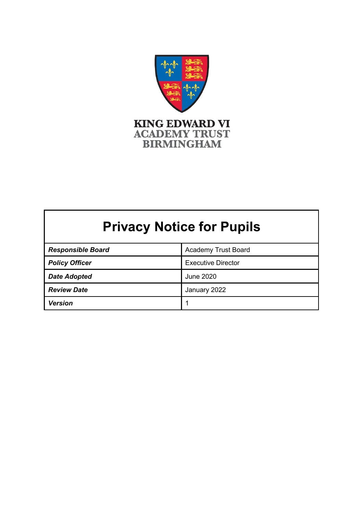

# **Privacy Notice for Pupils**

| <b>Responsible Board</b> | <b>Academy Trust Board</b> |
|--------------------------|----------------------------|
| <b>Policy Officer</b>    | <b>Executive Director</b>  |
| <b>Date Adopted</b>      | June 2020                  |
| <b>Review Date</b>       | January 2022               |
| <b>Version</b>           |                            |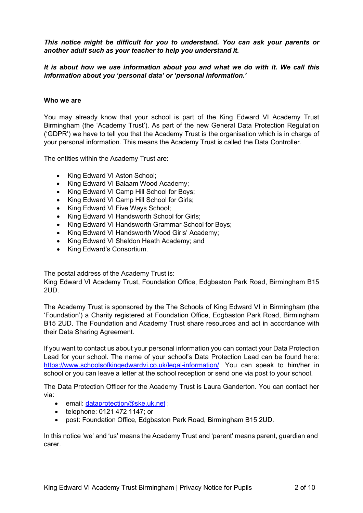*This notice might be difficult for you to understand. You can ask your parents or another adult such as your teacher to help you understand it.*

*It is about how we use information about you and what we do with it. We call this information about you 'personal data' or 'personal information.'*

## **Who we are**

You may already know that your school is part of the King Edward VI Academy Trust Birmingham (the 'Academy Trust'). As part of the new General Data Protection Regulation ('GDPR') we have to tell you that the Academy Trust is the organisation which is in charge of your personal information. This means the Academy Trust is called the Data Controller.

The entities within the Academy Trust are:

- King Edward VI Aston School;
- King Edward VI Balaam Wood Academy;
- King Edward VI Camp Hill School for Boys;
- King Edward VI Camp Hill School for Girls;
- King Edward VI Five Ways School;
- King Edward VI Handsworth School for Girls;
- King Edward VI Handsworth Grammar School for Boys;
- King Edward VI Handsworth Wood Girls' Academy;
- King Edward VI Sheldon Heath Academy; and
- King Edward's Consortium.

The postal address of the Academy Trust is:

King Edward VI Academy Trust, Foundation Office, Edgbaston Park Road, Birmingham B15 2UD.

The Academy Trust is sponsored by the The Schools of King Edward VI in Birmingham (the 'Foundation') a Charity registered at Foundation Office, Edgbaston Park Road, Birmingham B15 2UD. The Foundation and Academy Trust share resources and act in accordance with their Data Sharing Agreement.

If you want to contact us about your personal information you can contact your Data Protection Lead for your school. The name of your school's Data Protection Lead can be found here: [https://www.schoolsofkingedwardvi.co.uk/legal-information/.](https://www.schoolsofkingedwardvi.co.uk/legal-information/) You can speak to him/her in school or you can leave a letter at the school reception or send one via post to your school.

The Data Protection Officer for the Academy Trust is Laura Ganderton. You can contact her via:

- email: [dataprotection@ske.uk.net](mailto:dataprotection@ske.uk.net);
- telephone: 0121 472 1147; or
- post: Foundation Office, Edgbaston Park Road, Birmingham B15 2UD.

In this notice 'we' and 'us' means the Academy Trust and 'parent' means parent, guardian and carer.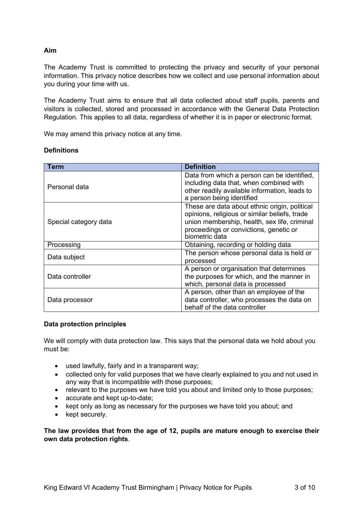## **Aim**

The Academy Trust is committed to protecting the privacy and security of your personal information. This privacy notice describes how we collect and use personal information about you during your time with us.

The Academy Trust aims to ensure that all data collected about staff pupils, parents and visitors is collected, stored and processed in accordance with the General Data Protection Regulation. This applies to all data, regardless of whether it is in paper or electronic format.

We may amend this privacy notice at any time.

## **Definitions**

| Term                  | Definition                                                                                                                                                                                                 |
|-----------------------|------------------------------------------------------------------------------------------------------------------------------------------------------------------------------------------------------------|
| Personal data         | Data from which a person can be identified,<br>including data that, when combined with<br>other readily available information, leads to<br>a person being identified                                       |
| Special category data | These are data about ethnic origin, political<br>opinions, religious or similar beliefs, trade<br>union membership, health, sex life, criminal<br>proceedings or convictions, genetic or<br>biometric data |
| Processing            | Obtaining, recording or holding data                                                                                                                                                                       |
| Data subject          | The person whose personal data is held or<br>processed                                                                                                                                                     |
| Data controller       | A person or organisation that determines<br>the purposes for which, and the manner in<br>which, personal data is processed                                                                                 |
| Data processor        | A person, other than an employee of the<br>data controller, who processes the data on<br>behalf of the data controller                                                                                     |

## **Data protection principles**

We will comply with data protection law. This says that the personal data we hold about you must be:

- used lawfully, fairly and in a transparent way;
- collected only for valid purposes that we have clearly explained to you and not used in any way that is incompatible with those purposes;
- relevant to the purposes we have told you about and limited only to those purposes;
- accurate and kept up-to-date;
- kept only as long as necessary for the purposes we have told you about; and
- kept securely.

**The law provides that from the age of 12, pupils are mature enough to exercise their own data protection rights**.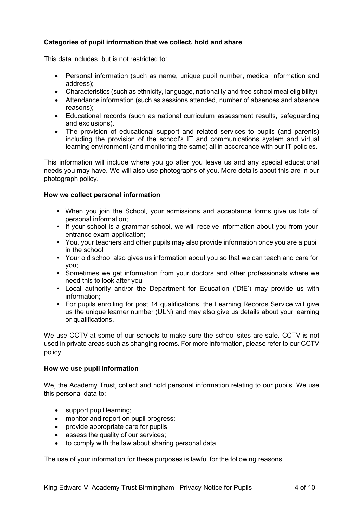## **Categories of pupil information that we collect, hold and share**

This data includes, but is not restricted to:

- Personal information (such as name, unique pupil number, medical information and address);
- Characteristics (such as ethnicity, language, nationality and free school meal eligibility)
- Attendance information (such as sessions attended, number of absences and absence reasons);
- Educational records (such as national curriculum assessment results, safeguarding and exclusions).
- The provision of educational support and related services to pupils (and parents) including the provision of the school's IT and communications system and virtual learning environment (and monitoring the same) all in accordance with our IT policies.

This information will include where you go after you leave us and any special educational needs you may have. We will also use photographs of you. More details about this are in our photograph policy.

## **How we collect personal information**

- When you join the School, your admissions and acceptance forms give us lots of personal information;
- If your school is a grammar school, we will receive information about you from your entrance exam application;
- You, your teachers and other pupils may also provide information once you are a pupil in the school;
- Your old school also gives us information about you so that we can teach and care for you;
- Sometimes we get information from your doctors and other professionals where we need this to look after you;
- Local authority and/or the Department for Education ('DfE') may provide us with information;
- For pupils enrolling for post 14 qualifications, the Learning Records Service will give us the unique learner number (ULN) and may also give us details about your learning or qualifications.

We use CCTV at some of our schools to make sure the school sites are safe. CCTV is not used in private areas such as changing rooms. For more information, please refer to our CCTV policy.

#### **How we use pupil information**

We, the Academy Trust, collect and hold personal information relating to our pupils. We use this personal data to:

- support pupil learning;
- monitor and report on pupil progress;
- provide appropriate care for pupils;
- assess the quality of our services;
- to comply with the law about sharing personal data.

The use of your information for these purposes is lawful for the following reasons: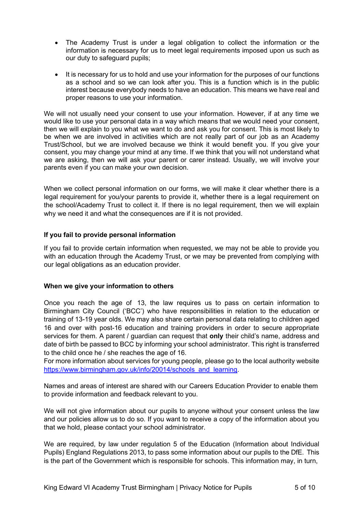- The Academy Trust is under a legal obligation to collect the information or the information is necessary for us to meet legal requirements imposed upon us such as our duty to safeguard pupils;
- It is necessary for us to hold and use your information for the purposes of our functions as a school and so we can look after you. This is a function which is in the public interest because everybody needs to have an education. This means we have real and proper reasons to use your information.

We will not usually need your consent to use your information. However, if at any time we would like to use your personal data in a way which means that we would need your consent, then we will explain to you what we want to do and ask you for consent. This is most likely to be when we are involved in activities which are not really part of our job as an Academy Trust/School, but we are involved because we think it would benefit you. If you give your consent, you may change your mind at any time. If we think that you will not understand what we are asking, then we will ask your parent or carer instead. Usually, we will involve your parents even if you can make your own decision.

When we collect personal information on our forms, we will make it clear whether there is a legal requirement for you/your parents to provide it, whether there is a legal requirement on the school/Academy Trust to collect it. If there is no legal requirement, then we will explain why we need it and what the consequences are if it is not provided.

## **If you fail to provide personal information**

If you fail to provide certain information when requested, we may not be able to provide you with an education through the Academy Trust, or we may be prevented from complying with our legal obligations as an education provider.

## **When we give your information to others**

Once you reach the age of 13, the law requires us to pass on certain information to Birmingham City Council ('BCC') who have responsibilities in relation to the education or training of 13-19 year olds. We may also share certain personal data relating to children aged 16 and over with post-16 education and training providers in order to secure appropriate services for them. A parent / guardian can request that **only** their child's name, address and date of birth be passed to BCC by informing your school administrator. This right is transferred to the child once he / she reaches the age of 16.

For more information about services for young people, please go to the local authority website [https://www.birmingham.gov.uk/info/20014/schools\\_and\\_learning.](https://www.birmingham.gov.uk/info/20014/schools_and_learning)

Names and areas of interest are shared with our Careers Education Provider to enable them to provide information and feedback relevant to you.

We will not give information about our pupils to anyone without your consent unless the law and our policies allow us to do so. If you want to receive a copy of the information about you that we hold, please contact your school administrator.

We are required, by law under regulation 5 of the Education (Information about Individual Pupils) England Regulations 2013, to pass some information about our pupils to the DfE. This is the part of the Government which is responsible for schools. This information may, in turn,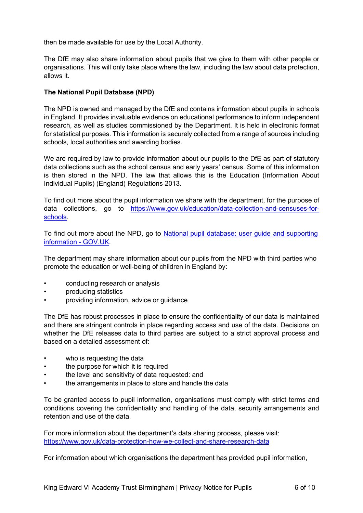then be made available for use by the Local Authority.

The DfE may also share information about pupils that we give to them with other people or organisations. This will only take place where the law, including the law about data protection, allows it.

## **The National Pupil Database (NPD)**

The NPD is owned and managed by the DfE and contains information about pupils in schools in England. It provides invaluable evidence on educational performance to inform independent research, as well as studies commissioned by the Department. It is held in electronic format for statistical purposes. This information is securely collected from a range of sources including schools, local authorities and awarding bodies.

We are required by law to provide information about our pupils to the DfE as part of statutory data collections such as the school census and early years' census. Some of this information is then stored in the NPD. The law that allows this is the Education (Information About Individual Pupils) (England) Regulations 2013.

To find out more about the pupil information we share with the department, for the purpose of data collections, go to [https://www.gov.uk/education/data-collection-and-censuses-for](https://www.gov.uk/education/data-collection-and-censuses-for-schools)[schools.](https://www.gov.uk/education/data-collection-and-censuses-for-schools)

To find out more about the NPD, go to National pupil database: user guide and [supporting](https://www.gov.uk/government/publications/national-pupil-database-user-guide-and-supporting-information) [information](https://www.gov.uk/government/publications/national-pupil-database-user-guide-and-supporting-information) - GOV.UK.

The department may share information about our pupils from the NPD with third parties who promote the education or well-being of children in England by:

- conducting research or analysis
- producing statistics
- providing information, advice or guidance

The DfE has robust processes in place to ensure the confidentiality of our data is maintained and there are stringent controls in place regarding access and use of the data. Decisions on whether the DfE releases data to third parties are subject to a strict approval process and based on a detailed assessment of:

- who is requesting the data
- the purpose for which it is required
- the level and sensitivity of data requested: and
- the arrangements in place to store and handle the data

To be granted access to pupil information, organisations must comply with strict terms and conditions covering the confidentiality and handling of the data, security arrangements and retention and use of the data.

For more information about the department's data sharing process, please visit: [https://www.gov.uk/data-protection-how-we-collect-and-share-research-data](https://www.gov.uk/guidance/data-protection-how-we-collect-and-share-research-data)

For information about which organisations the department has provided pupil information,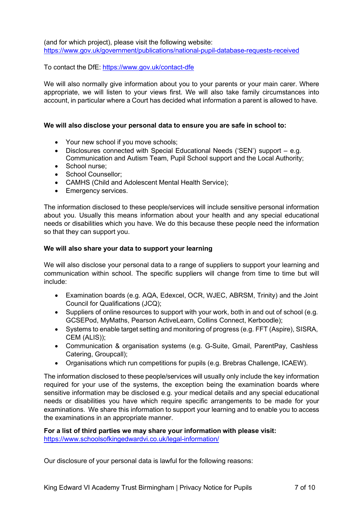(and for which project), please visit the following website: <https://www.gov.uk/government/publications/national-pupil-database-requests-received>

To contact the DfE: <https://www.gov.uk/contact-dfe>

We will also normally give information about you to your parents or your main carer. Where appropriate, we will listen to your views first. We will also take family circumstances into account, in particular where a Court has decided what information a parent is allowed to have.

## **We will also disclose your personal data to ensure you are safe in school to:**

- Your new school if you move schools;
- Disclosures connected with Special Educational Needs ('SEN') support e.g. Communication and Autism Team, Pupil School support and the Local Authority;
- School nurse:
- School Counsellor;
- CAMHS (Child and Adolescent Mental Health Service);
- Emergency services.

The information disclosed to these people/services will include sensitive personal information about you. Usually this means information about your health and any special educational needs or disabilities which you have. We do this because these people need the information so that they can support you.

## **We will also share your data to support your learning**

We will also disclose your personal data to a range of suppliers to support your learning and communication within school. The specific suppliers will change from time to time but will include:

- Examination boards (e.g. AQA, Edexcel, OCR, WJEC, ABRSM, Trinity) and the Joint Council for Qualifications (JCQ);
- Suppliers of online resources to support with your work, both in and out of school (e.g. GCSEPod, MyMaths, Pearson ActiveLearn, Collins Connect, Kerboodle);
- Systems to enable target setting and monitoring of progress (e.g. FFT (Aspire), SISRA, CEM (ALIS));
- Communication & organisation systems (e.g. G-Suite, Gmail, ParentPay, Cashless Catering, Groupcall);
- Organisations which run competitions for pupils (e.g. Brebras Challenge, ICAEW).

The information disclosed to these people/services will usually only include the key information required for your use of the systems, the exception being the examination boards where sensitive information may be disclosed e.g. your medical details and any special educational needs or disabilities you have which require specific arrangements to be made for your examinations. We share this information to support your learning and to enable you to access the examinations in an appropriate manner.

**For a list of third parties we may share your information with please visit:** <https://www.schoolsofkingedwardvi.co.uk/legal-information/>

Our disclosure of your personal data is lawful for the following reasons: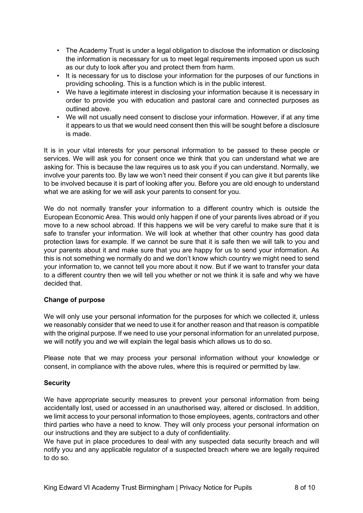- The Academy Trust is under a legal obligation to disclose the information or disclosing the information is necessary for us to meet legal requirements imposed upon us such as our duty to look after you and protect them from harm.
- It is necessary for us to disclose your information for the purposes of our functions in providing schooling. This is a function which is in the public interest.
- We have a legitimate interest in disclosing your information because it is necessary in order to provide you with education and pastoral care and connected purposes as outlined above.
- We will not usually need consent to disclose your information. However, if at any time it appears to us that we would need consent then this will be sought before a disclosure is made.

It is in your vital interests for your personal information to be passed to these people or services. We will ask you for consent once we think that you can understand what we are asking for. This is because the law requires us to ask you if you can understand. Normally, we involve your parents too. By law we won't need their consent if you can give it but parents like to be involved because it is part of looking after you. Before you are old enough to understand what we are asking for we will ask your parents to consent for you.

We do not normally transfer your information to a different country which is outside the European Economic Area. This would only happen if one of your parents lives abroad or if you move to a new school abroad. If this happens we will be very careful to make sure that it is safe to transfer your information. We will look at whether that other country has good data protection laws for example. If we cannot be sure that it is safe then we will talk to you and your parents about it and make sure that you are happy for us to send your information. As this is not something we normally do and we don't know which country we might need to send your information to, we cannot tell you more about it now. But if we want to transfer your data to a different country then we will tell you whether or not we think it is safe and why we have decided that.

## **Change of purpose**

We will only use your personal information for the purposes for which we collected it, unless we reasonably consider that we need to use it for another reason and that reason is compatible with the original purpose. If we need to use your personal information for an unrelated purpose, we will notify you and we will explain the legal basis which allows us to do so.

Please note that we may process your personal information without your knowledge or consent, in compliance with the above rules, where this is required or permitted by law.

## **Security**

We have appropriate security measures to prevent your personal information from being accidentally lost, used or accessed in an unauthorised way, altered or disclosed. In addition, we limit access to your personal information to those employees, agents, contractors and other third parties who have a need to know. They will only process your personal information on our instructions and they are subject to a duty of confidentiality.

We have put in place procedures to deal with any suspected data security breach and will notify you and any applicable regulator of a suspected breach where we are legally required to do so.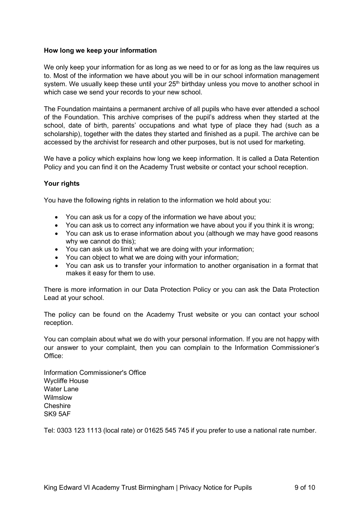## **How long we keep your information**

We only keep your information for as long as we need to or for as long as the law requires us to. Most of the information we have about you will be in our school information management system. We usually keep these until your  $25<sup>th</sup>$  birthday unless you move to another school in which case we send your records to your new school.

The Foundation maintains a permanent archive of all pupils who have ever attended a school of the Foundation. This archive comprises of the pupil's address when they started at the school, date of birth, parents' occupations and what type of place they had (such as a scholarship), together with the dates they started and finished as a pupil. The archive can be accessed by the archivist for research and other purposes, but is not used for marketing.

We have a policy which explains how long we keep information. It is called a Data Retention Policy and you can find it on the Academy Trust website or contact your school reception.

## **Your rights**

You have the following rights in relation to the information we hold about you:

- You can ask us for a copy of the information we have about you;
- You can ask us to correct any information we have about you if you think it is wrong;
- You can ask us to erase information about you (although we may have good reasons why we cannot do this);
- You can ask us to limit what we are doing with your information;
- You can object to what we are doing with your information;
- You can ask us to transfer your information to another organisation in a format that makes it easy for them to use.

There is more information in our Data Protection Policy or you can ask the Data Protection Lead at your school.

The policy can be found on the Academy Trust website or you can contact your school reception.

You can complain about what we do with your personal information. If you are not happy with our answer to your complaint, then you can complain to the Information Commissioner's Office:

Information Commissioner's Office Wycliffe House Water Lane Wilmslow Cheshire SK9 5AF

Tel: 0303 123 1113 (local rate) or 01625 545 745 if you prefer to use a national rate number.